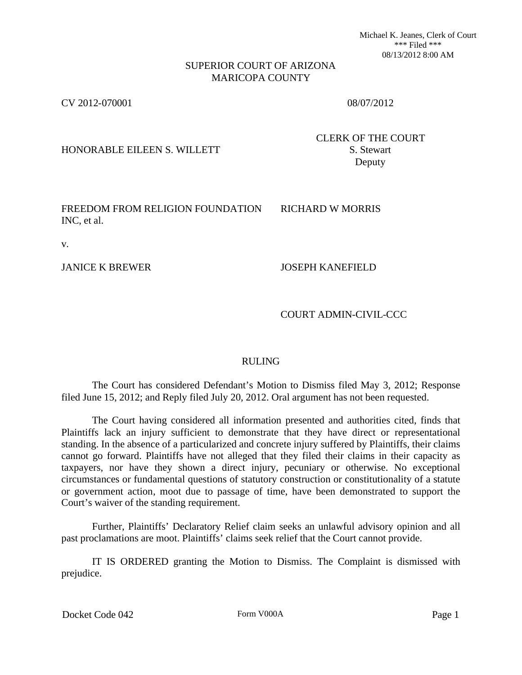Michael K. Jeanes, Clerk of Court \*\*\* Filed \*\*\* 08/13/2012 8:00 AM

## SUPERIOR COURT OF ARIZONA MARICOPA COUNTY

CV 2012-070001 08/07/2012

HONORABLE EILEEN S. WILLETT S. Stewart

CLERK OF THE COURT Deputy

FREEDOM FROM RELIGION FOUNDATION INC, et al. RICHARD W MORRIS

v.

JANICE K BREWER JOSEPH KANEFIELD

COURT ADMIN-CIVIL-CCC

## RULING

The Court has considered Defendant's Motion to Dismiss filed May 3, 2012; Response filed June 15, 2012; and Reply filed July 20, 2012. Oral argument has not been requested.

The Court having considered all information presented and authorities cited, finds that Plaintiffs lack an injury sufficient to demonstrate that they have direct or representational standing. In the absence of a particularized and concrete injury suffered by Plaintiffs, their claims cannot go forward. Plaintiffs have not alleged that they filed their claims in their capacity as taxpayers, nor have they shown a direct injury, pecuniary or otherwise. No exceptional circumstances or fundamental questions of statutory construction or constitutionality of a statute or government action, moot due to passage of time, have been demonstrated to support the Court's waiver of the standing requirement.

Further, Plaintiffs' Declaratory Relief claim seeks an unlawful advisory opinion and all past proclamations are moot. Plaintiffs' claims seek relief that the Court cannot provide.

IT IS ORDERED granting the Motion to Dismiss. The Complaint is dismissed with prejudice.

Docket Code 042 Form V000A Form V000A Page 1